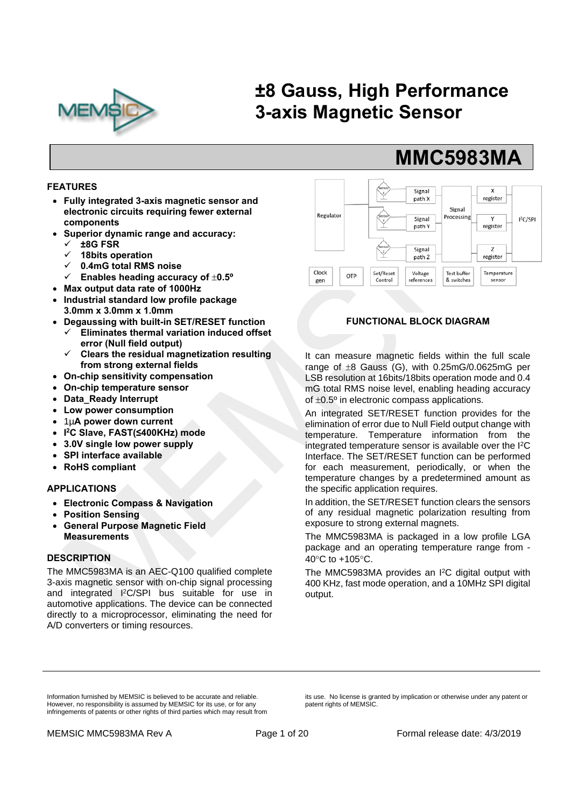

# **±8 Gauss, High Performance 3-axis Magnetic Sensor**

#### **FEATURES**

- **Fully integrated 3-axis magnetic sensor and electronic circuits requiring fewer external components**
- **Superior dynamic range and accuracy:** 
	- **±8G FSR**
	- **18bits operation**
	- **0.4mG total RMS noise**
	- $\checkmark$  Enables heading accuracy of  $\pm 0.5^\circ$
- **Max output data rate of 1000Hz**
- **Industrial standard low profile package 3.0mm x 3.0mm x 1.0mm**
- **Degaussing with built-in SET/RESET function Eliminates thermal variation induced offset error (Null field output)** 
	- **Clears the residual magnetization resulting from strong external fields**
- **On-chip sensitivity compensation**
- **On-chip temperature sensor**
- **Data\_Ready Interrupt**
- **Low power consumption**
- 1µ**A power down current**
- **I 2C Slave, FAST(≤400KHz) mode**
- **3.0V single low power supply**
- **SPI interface available**
- **RoHS compliant**

#### **APPLICATIONS**

- **Electronic Compass & Navigation**
- **Position Sensing**
- **General Purpose Magnetic Field Measurements**

#### **DESCRIPTION**

The MMC5983MA is an AEC-Q100 qualified complete 3-axis magnetic sensor with on-chip signal processing and integrated I2C/SPI bus suitable for use in automotive applications. The device can be connected directly to a microprocessor, eliminating the need for A/D converters or timing resources.



 **MMC5983MA**

#### **FUNCTIONAL BLOCK DIAGRAM**

It can measure magnetic fields within the full scale range of  $\pm 8$  Gauss (G), with 0.25mG/0.0625mG per LSB resolution at 16bits/18bits operation mode and 0.4 mG total RMS noise level, enabling heading accuracy of  $\pm 0.5^\circ$  in electronic compass applications.

An integrated SET/RESET function provides for the elimination of error due to Null Field output change with temperature. Temperature information from the integrated temperature sensor is available over the I2C Interface. The SET/RESET function can be performed for each measurement, periodically, or when the temperature changes by a predetermined amount as the specific application requires.

In addition, the SET/RESET function clears the sensors of any residual magnetic polarization resulting from exposure to strong external magnets.

The MMC5983MA is packaged in a low profile LGA package and an operating temperature range from - 40 $\mathrm{^{\circ}C}$  to +105 $\mathrm{^{\circ}C}$ .

The MMC5983MA provides an I<sup>2</sup>C digital output with 400 KHz, fast mode operation, and a 10MHz SPI digital output.

Information furnished by MEMSIC is believed to be accurate and reliable. However, no responsibility is assumed by MEMSIC for its use, or for any infringements of patents or other rights of third parties which may result from its use. No license is granted by implication or otherwise under any patent or patent rights of MEMSIC.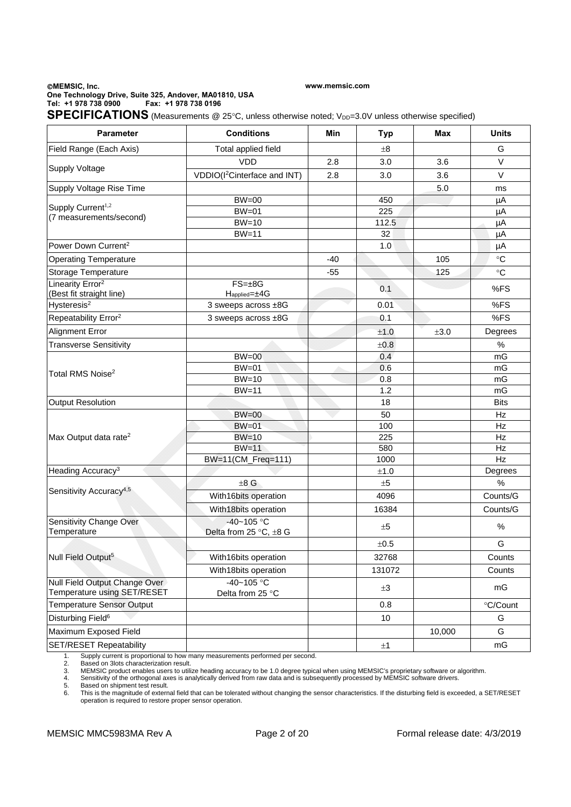#### **MEMSIC, Inc. One Technology Drive, Suite 325, Andover, MA01810, USA Tel: +1 978 738 0900 Fax: +1 978 738 0196**

**www.memsic.com**

SPECIFICATIONS (Measurements @ 25°C, unless otherwise noted; V<sub>DD</sub>=3.0V unless otherwise specified)

| <b>Parameter</b>                                                                                                                                                                                                                                                                | <b>Conditions</b>                           | Min                                                                                                                                                      | <b>Typ</b> | <b>Max</b> | <b>Units</b> |
|---------------------------------------------------------------------------------------------------------------------------------------------------------------------------------------------------------------------------------------------------------------------------------|---------------------------------------------|----------------------------------------------------------------------------------------------------------------------------------------------------------|------------|------------|--------------|
| Field Range (Each Axis)                                                                                                                                                                                                                                                         | Total applied field                         |                                                                                                                                                          | $\pm 8$    |            | G            |
|                                                                                                                                                                                                                                                                                 | <b>VDD</b>                                  | 2.8                                                                                                                                                      | 3.0        | 3.6        | $\vee$       |
| <b>Supply Voltage</b>                                                                                                                                                                                                                                                           | VDDIO(I <sup>2</sup> Cinterface and INT)    | 2.8                                                                                                                                                      | 3.0        | 3.6        | $\vee$       |
| Supply Voltage Rise Time                                                                                                                                                                                                                                                        |                                             |                                                                                                                                                          |            |            | ms           |
|                                                                                                                                                                                                                                                                                 | <b>BW=00</b>                                |                                                                                                                                                          |            |            | μA           |
| Supply Current <sup>1,2</sup>                                                                                                                                                                                                                                                   | $BW=01$                                     |                                                                                                                                                          | 225        |            | μA           |
| (7 measurements/second)                                                                                                                                                                                                                                                         | $BW=10$                                     |                                                                                                                                                          | 112.5      |            | μA           |
|                                                                                                                                                                                                                                                                                 | $BW=11$                                     |                                                                                                                                                          | 32         |            | μA           |
| Power Down Current <sup>2</sup>                                                                                                                                                                                                                                                 |                                             |                                                                                                                                                          | 1.0        |            | μA           |
| <b>Operating Temperature</b>                                                                                                                                                                                                                                                    |                                             | $-40$                                                                                                                                                    |            | 105        | $\circ$ C    |
| Storage Temperature                                                                                                                                                                                                                                                             |                                             | $-55$                                                                                                                                                    |            | 125        | $\circ$ C    |
| Linearity Error <sup>2</sup><br>(Best fit straight line)                                                                                                                                                                                                                        | $FS = \pm 8G$<br>$H_{\text{applied}=\pm4G}$ |                                                                                                                                                          | 0.1        |            | %FS          |
| Hysteresis <sup>2</sup>                                                                                                                                                                                                                                                         | 3 sweeps across ±8G                         |                                                                                                                                                          | 0.01       |            | %FS          |
| Repeatability Error <sup>2</sup>                                                                                                                                                                                                                                                | 3 sweeps across ±8G                         |                                                                                                                                                          | 0.1        |            | %FS          |
|                                                                                                                                                                                                                                                                                 |                                             |                                                                                                                                                          | ±1.0       | ±3.0       | Degrees      |
|                                                                                                                                                                                                                                                                                 |                                             |                                                                                                                                                          |            |            | %            |
|                                                                                                                                                                                                                                                                                 |                                             |                                                                                                                                                          |            |            | mG           |
| Alignment Error<br><b>Transverse Sensitivity</b><br><b>BW=00</b><br><b>BW=01</b><br>0.6<br>â<br>Total RMS Noise <sup>2</sup><br>$BW=10$<br>0.8<br>$BW=11$<br>1.2<br>18<br>$BW=00$<br>50<br>$BW=01$<br>$BW=10$<br>$BW=11$<br>BW=11(CM_Freq=111)<br>Heading Accuracy <sup>3</sup> |                                             |                                                                                                                                                          |            |            | mG           |
|                                                                                                                                                                                                                                                                                 |                                             |                                                                                                                                                          |            |            | mG           |
|                                                                                                                                                                                                                                                                                 |                                             |                                                                                                                                                          | mG         |            |              |
| Output Resolution                                                                                                                                                                                                                                                               |                                             |                                                                                                                                                          |            |            | <b>Bits</b>  |
|                                                                                                                                                                                                                                                                                 |                                             |                                                                                                                                                          |            |            | Hz           |
|                                                                                                                                                                                                                                                                                 |                                             |                                                                                                                                                          | 100        |            | Hz           |
| Max Output data rate <sup>2</sup>                                                                                                                                                                                                                                               |                                             |                                                                                                                                                          | 225        |            | Hz           |
|                                                                                                                                                                                                                                                                                 |                                             |                                                                                                                                                          | 580        |            | Hz           |
|                                                                                                                                                                                                                                                                                 |                                             | 5.0<br>450<br>±0.8<br>0.4<br>1000<br>$\pm 1.0$<br>$\pm 5$<br>4096<br>16384<br>$\pm 5$<br>±0.5<br>32768<br>131072<br>$\pm 3$<br>0.8<br>10<br>10,000<br>±1 | Hz         |            |              |
|                                                                                                                                                                                                                                                                                 |                                             |                                                                                                                                                          |            |            | Degrees      |
| Sensitivity Accuracy <sup>4,5</sup>                                                                                                                                                                                                                                             | $\pm 8$ G                                   |                                                                                                                                                          |            |            | %            |
|                                                                                                                                                                                                                                                                                 | With16bits operation                        |                                                                                                                                                          |            |            | Counts/G     |
|                                                                                                                                                                                                                                                                                 | With18bits operation                        |                                                                                                                                                          |            |            | Counts/G     |
| Sensitivity Change Over<br>Temperature                                                                                                                                                                                                                                          | $-40 - 105$ °C<br>Delta from 25 °C, ±8 G    |                                                                                                                                                          |            |            | $\%$         |
|                                                                                                                                                                                                                                                                                 |                                             |                                                                                                                                                          |            |            | G            |
| Null Field Output <sup>5</sup>                                                                                                                                                                                                                                                  | With16bits operation                        |                                                                                                                                                          |            |            | Counts       |
|                                                                                                                                                                                                                                                                                 | With18bits operation                        |                                                                                                                                                          |            |            | Counts       |
| Null Field Output Change Over<br>Temperature using SET/RESET                                                                                                                                                                                                                    | $-40 - 105$ °C<br>Delta from 25 °C          |                                                                                                                                                          |            |            | mG           |
| <b>Temperature Sensor Output</b>                                                                                                                                                                                                                                                |                                             |                                                                                                                                                          |            |            | °C/Count     |
| Disturbing Field <sup>6</sup>                                                                                                                                                                                                                                                   |                                             |                                                                                                                                                          |            |            | G            |
| Maximum Exposed Field                                                                                                                                                                                                                                                           |                                             |                                                                                                                                                          |            |            | G            |
| SET/RESET Repeatability                                                                                                                                                                                                                                                         |                                             |                                                                                                                                                          |            |            | mG           |

1. Supply current is proportional to how many measurements performed per second.<br>
2. Based on 3lots characterization result.<br>
3. MEMSIC product enables users to utilize heading accuracy to be 1.0 degree typical<br>
4. Sensiti

2. Based on 3lots characterization result.<br>3. MEMSIC product enables users to utilize heading accuracy to be 1.0 degree typical when using MEMSIC's proprietary software or algorithm.<br>4. Sensitivity of the ortho

5. Based on shipment test result.<br>6. This is the magnitude of extern 6. This is the magnitude of external field that can be tolerated without changing the sensor characteristics. If the disturbing field is exceeded, a SET/RESET operation is required to restore proper sensor operation.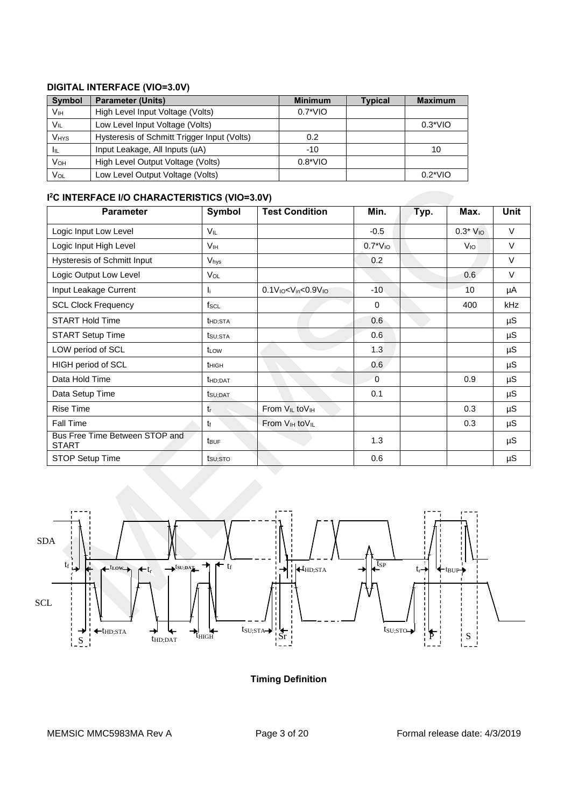# **DIGITAL INTERFACE (VIO=3.0V)**

| <b>Symbol</b> | <b>Parameter (Units)</b>                    | <b>Minimum</b>   | <b>Typical</b> | <b>Maximum</b>   |
|---------------|---------------------------------------------|------------------|----------------|------------------|
| Vıн           | High Level Input Voltage (Volts)            | $0.7^{\ast}$ VIO |                |                  |
| Vil           | Low Level Input Voltage (Volts)             |                  |                | $0.3*VIO$        |
| <b>VHYS</b>   | Hysteresis of Schmitt Trigger Input (Volts) | 0.2              |                |                  |
| Iщ            | Input Leakage, All Inputs (uA)              | $-10$            |                | 10               |
| VOH           | High Level Output Voltage (Volts)           | $0.8^{\ast}$ VIO |                |                  |
| VOL           | Low Level Output Voltage (Volts)            |                  |                | $0.2^{\ast}$ VIO |

## **I 2C INTERFACE I/O CHARACTERISTICS (VIO=3.0V)**

| <b>Parameter</b>                               | <b>Symbol</b>         | <b>Test Condition</b>                   | Min.         | Typ. | Max.            | <b>Unit</b> |
|------------------------------------------------|-----------------------|-----------------------------------------|--------------|------|-----------------|-------------|
| Logic Input Low Level                          | V <sub>IL</sub>       |                                         | $-0.5$       |      | $0.3*V_{10}$    | $\vee$      |
| Logic Input High Level                         | <b>V<sub>IH</sub></b> |                                         | $0.7*V_{10}$ |      | V <sub>IO</sub> | V           |
| <b>Hysteresis of Schmitt Input</b>             | Vhys                  |                                         | 0.2          |      |                 | $\vee$      |
| Logic Output Low Level                         | <b>Vol</b>            |                                         |              |      | 0.6             | V           |
| Input Leakage Current                          | -li                   | $0.1V10< Vin< 0.9V10$                   | $-10$        |      | 10              | μA          |
| <b>SCL Clock Frequency</b>                     | fscl                  |                                         | $\Omega$     |      | 400             | kHz         |
| <b>START Hold Time</b>                         | <b>t</b> HD;STA       |                                         | 0.6          |      |                 | μS          |
| <b>START Setup Time</b>                        | tsu;sta               |                                         | 0.6          |      |                 | μS          |
| LOW period of SCL                              | t <sub>LOW</sub>      |                                         | 1.3          |      |                 | $\mu$ S     |
| HIGH period of SCL                             | t <sub>HIGH</sub>     |                                         | 0.6          |      |                 | $\mu$ S     |
| Data Hold Time                                 | <b>t</b> HD:DAT       |                                         | $\Omega$     |      | 0.9             | μS          |
| Data Setup Time                                | t <sub>SU</sub> ;DAT  |                                         | 0.1          |      |                 | μS          |
| <b>Rise Time</b>                               | tr                    | From V <sub>IL</sub> to V <sub>IH</sub> |              |      | 0.3             | $\mu$ S     |
| Fall Time                                      | tŧ                    | From V <sub>IH</sub> to V <sub>IL</sub> |              |      | 0.3             | μS          |
| Bus Free Time Between STOP and<br><b>START</b> | t <sub>BUF</sub>      |                                         | 1.3          |      |                 | $\mu$ S     |
| STOP Setup Time                                | tsu <sub>:</sub> sto  |                                         | 0.6          |      |                 | $\mu S$     |



**Timing Definition**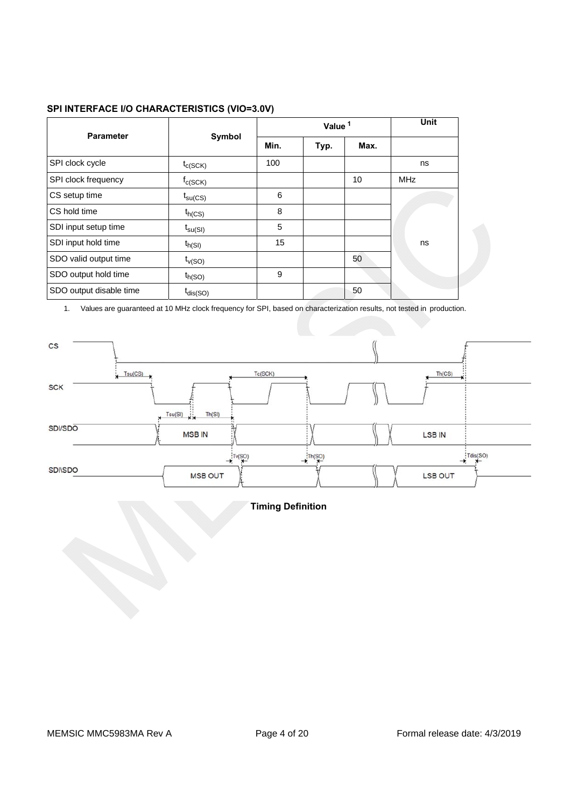| SPI INTERFACE I/O CHARACTERISTICS (VIO=3.0V) |  |
|----------------------------------------------|--|
|                                              |  |

|                         |                     |      | Unit |      |            |
|-------------------------|---------------------|------|------|------|------------|
| <b>Parameter</b>        | Symbol              | Min. | Typ. | Max. |            |
| SPI clock cycle         | $t_{C(SCK)}$        | 100  |      |      | ns         |
| SPI clock frequency     | $f_{C(SCK)}$        |      |      | 10   | <b>MHz</b> |
| CS setup time           | $t_{\text{SU(CS)}}$ | 6    |      |      |            |
| <b>CS</b> hold time     | $t_{h(CS)}$         | 8    |      |      |            |
| SDI input setup time    | $t_{\text{su(SI)}}$ | 5    |      |      |            |
| SDI input hold time     | $t_{h(SI)}$         | 15   |      |      | ns         |
| SDO valid output time   | $t_{V(SO)}$         |      |      | 50   |            |
| SDO output hold time    | $t_{h(SO)}$         | 9    |      |      |            |
| SDO output disable time | $t_{dis(SO)}$       |      |      | 50   |            |

1. Values are guaranteed at 10 MHz clock frequency for SPI, based on characterization results, not tested in production.



**Timing Definition**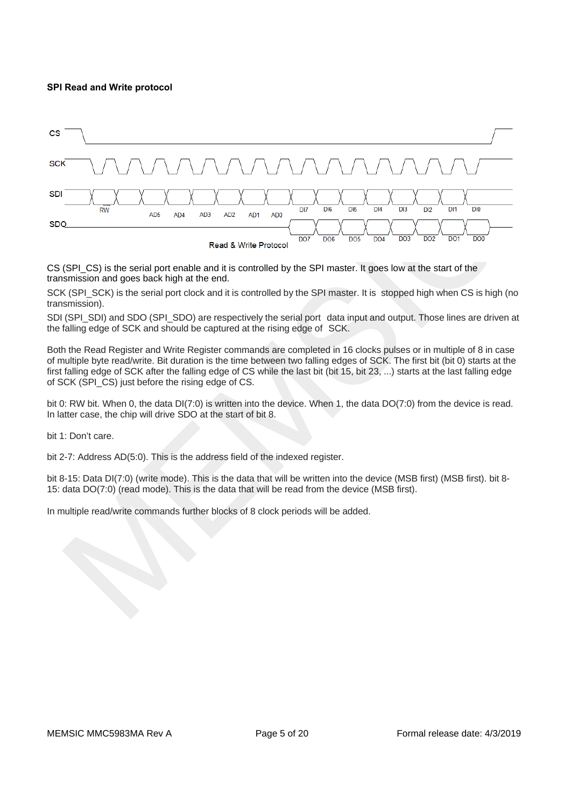#### **SPI Read and Write protocol**



CS (SPI\_CS) is the serial port enable and it is controlled by the SPI master. It goes low at the start of the transmission and goes back high at the end.

SCK (SPI\_SCK) is the serial port clock and it is controlled by the SPI master. It is stopped high when CS is high (no transmission).

SDI (SPI\_SDI) and SDO (SPI\_SDO) are respectively the serial port data input and output. Those lines are driven at the falling edge of SCK and should be captured at the rising edge of SCK.

Both the Read Register and Write Register commands are completed in 16 clocks pulses or in multiple of 8 in case of multiple byte read/write. Bit duration is the time between two falling edges of SCK. The first bit (bit 0) starts at the first falling edge of SCK after the falling edge of CS while the last bit (bit 15, bit 23, ...) starts at the last falling edge of SCK (SPI\_CS) just before the rising edge of CS.

bit 0: RW bit. When 0, the data DI(7:0) is written into the device. When 1, the data DO(7:0) from the device is read. In latter case, the chip will drive SDO at the start of bit 8.

bit 1: Don't care.

bit 2-7: Address AD(5:0). This is the address field of the indexed register.

bit 8-15: Data DI(7:0) (write mode). This is the data that will be written into the device (MSB first) (MSB first). bit 8-15: data DO(7:0) (read mode). This is the data that will be read from the device (MSB first).

In multiple read/write commands further blocks of 8 clock periods will be added.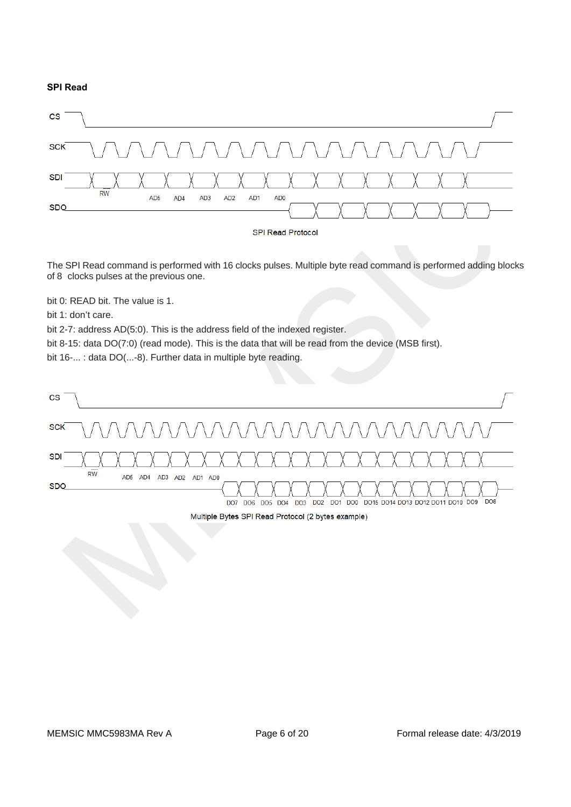#### **SPI Read**



The SPI Read command is performed with 16 clocks pulses. Multiple byte read command is performed adding blocks of 8 clocks pulses at the previous one.

bit 0: READ bit. The value is 1.

bit 1: don't care.

bit 2-7: address AD(5:0). This is the address field of the indexed register.

bit 8-15: data DO(7:0) (read mode). This is the data that will be read from the device (MSB first).

bit 16-... : data DO(...-8). Further data in multiple byte reading.



#### Multiple Bytes SPI Read Protocol (2 bytes example)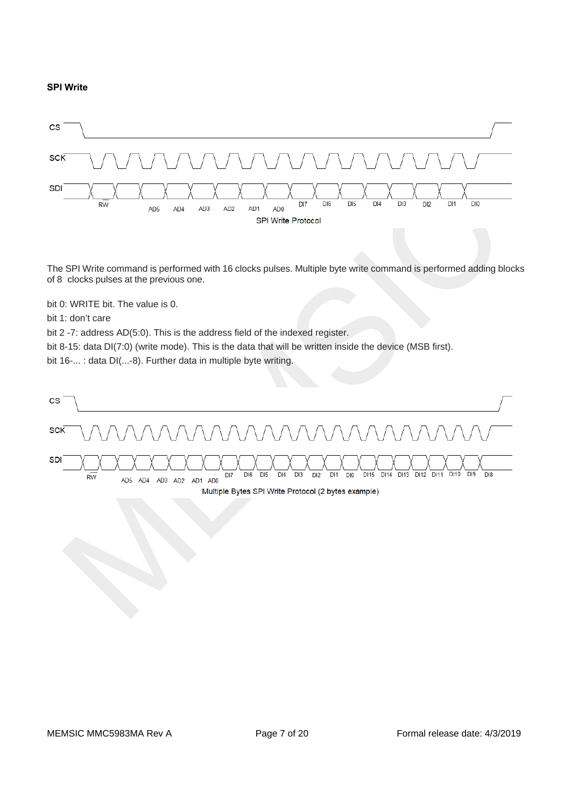#### **SPI Write**



The SPI Write command is performed with 16 clocks pulses. Multiple byte write command is performed adding blocks of 8 clocks pulses at the previous one.

bit 0: WRITE bit. The value is 0.

bit 1: don't care

bit 2 -7: address AD(5:0). This is the address field of the indexed register.

bit 8-15: data DI(7:0) (write mode). This is the data that will be written inside the device (MSB first).

bit 16-... : data DI(...-8). Further data in multiple byte writing.

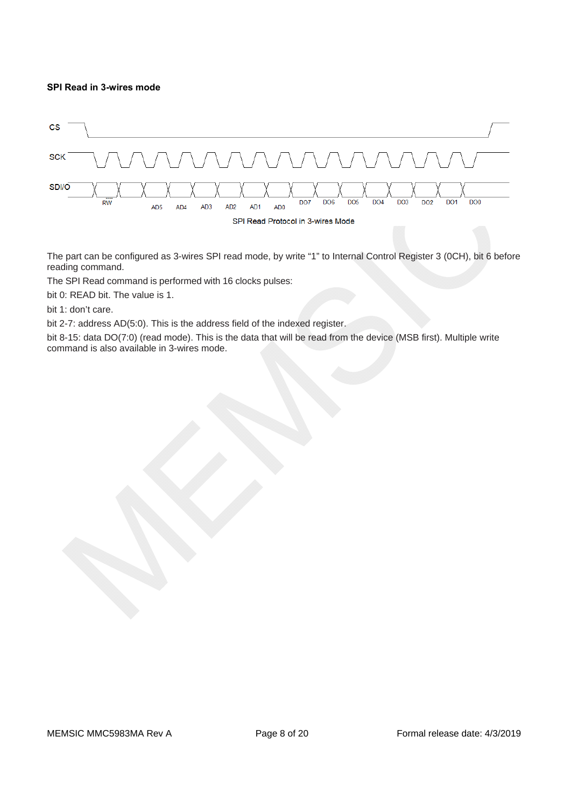#### **SPI Read in 3-wires mode**



The part can be configured as 3-wires SPI read mode, by write "1" to Internal Control Register 3 (0CH), bit 6 before reading command.

The SPI Read command is performed with 16 clocks pulses:

bit 0: READ bit. The value is 1.

bit 1: don't care.

bit 2-7: address AD(5:0). This is the address field of the indexed register.

bit 8-15: data DO(7:0) (read mode). This is the data that will be read from the device (MSB first). Multiple write command is also available in 3-wires mode.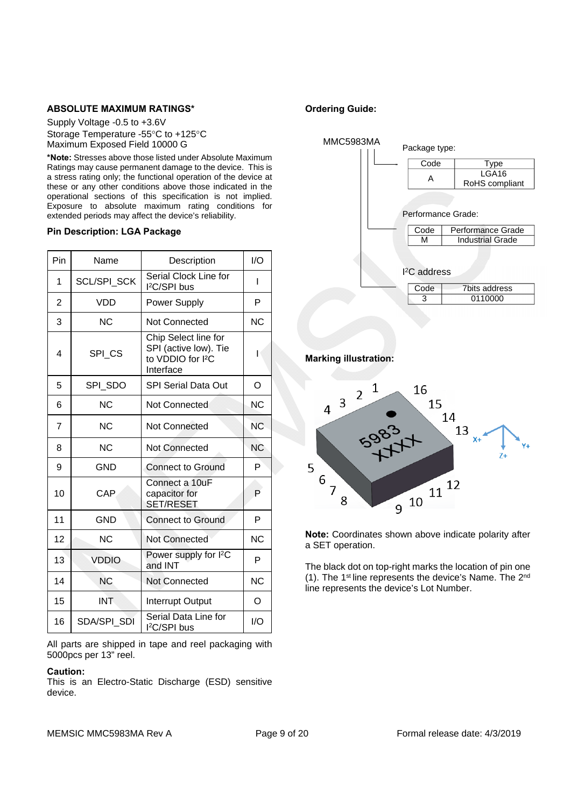#### **ABSOLUTE MAXIMUM RATINGS\***

Supply Voltage -0.5 to +3.6V Storage Temperature -55°C to +125°C Maximum Exposed Field 10000 G

**\*Note:** Stresses above those listed under Absolute Maximum Ratings may cause permanent damage to the device. This is a stress rating only; the functional operation of the device at these or any other conditions above those indicated in the operational sections of this specification is not implied. Exposure to absolute maximum rating conditions for extended periods may affect the device's reliability.

#### **Pin Description: LGA Package**

| Pin            | Name         | Description                                                                                 | 1/O       |
|----------------|--------------|---------------------------------------------------------------------------------------------|-----------|
| 1              | SCL/SPI_SCK  | Serial Clock Line for<br>l <sup>2</sup> C/SPI bus                                           | ı         |
| $\overline{2}$ | VDD          | Power Supply                                                                                | P         |
| 3              | <b>NC</b>    | Not Connected                                                                               | <b>NC</b> |
| 4              | SPI_CS       | Chip Select line for<br>SPI (active low). Tie<br>to VDDIO for I <sup>2</sup> C<br>Interface | ı         |
| 5              | SPI SDO      | <b>SPI Serial Data Out</b>                                                                  | O         |
| 6              | <b>NC</b>    | Not Connected                                                                               | <b>NC</b> |
| 7              | <b>NC</b>    | <b>Not Connected</b>                                                                        | <b>NC</b> |
| 8              | <b>NC</b>    | Not Connected                                                                               | <b>NC</b> |
| 9              | <b>GND</b>   | <b>Connect to Ground</b>                                                                    | P         |
| 10             | CAP          | Connect a 10uF<br>capacitor for<br>SET/RESET                                                | P         |
| 11             | <b>GND</b>   | <b>Connect to Ground</b>                                                                    | P         |
| 12             | <b>NC</b>    | Not Connected                                                                               | <b>NC</b> |
| 13             | <b>VDDIO</b> | Power supply for I <sup>2</sup> C<br>and INT                                                | P         |
| 14             | ΝC           | Not Connected                                                                               | <b>NC</b> |
| 15             | <b>INT</b>   | Interrupt Output                                                                            | O         |
| 16             | SDA/SPI SDI  | Serial Data Line for<br>l <sup>2</sup> C/SPI bus                                            | I/O       |

All parts are shipped in tape and reel packaging with 5000pcs per 13" reel.

#### **Caution:**

This is an Electro-Static Discharge (ESD) sensitive device.

## **Ordering Guide:**



**Marking illustration:** 



**Note:** Coordinates shown above indicate polarity after a SET operation.

The black dot on top-right marks the location of pin one (1). The 1st line represents the device's Name. The 2nd line represents the device's Lot Number.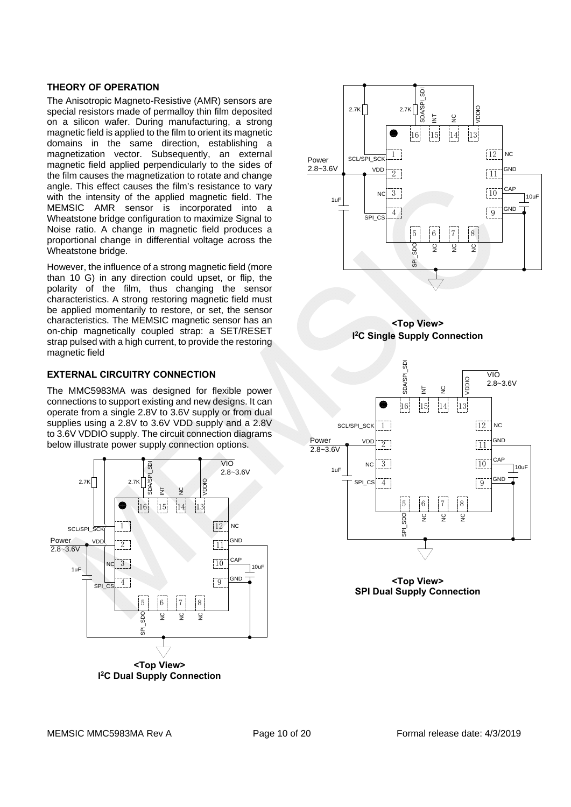#### **THEORY OF OPERATION**

The Anisotropic Magneto-Resistive (AMR) sensors are special resistors made of permalloy thin film deposited on a silicon wafer. During manufacturing, a strong magnetic field is applied to the film to orient its magnetic domains in the same direction, establishing a magnetization vector. Subsequently, an external magnetic field applied perpendicularly to the sides of the film causes the magnetization to rotate and change angle. This effect causes the film's resistance to vary with the intensity of the applied magnetic field. The MEMSIC AMR sensor is incorporated into a Wheatstone bridge configuration to maximize Signal to Noise ratio. A change in magnetic field produces a proportional change in differential voltage across the Wheatstone bridge.

However, the influence of a strong magnetic field (more than 10 G) in any direction could upset, or flip, the polarity of the film, thus changing the sensor characteristics. A strong restoring magnetic field must be applied momentarily to restore, or set, the sensor characteristics. The MEMSIC magnetic sensor has an on-chip magnetically coupled strap: a SET/RESET strap pulsed with a high current, to provide the restoring magnetic field

## **EXTERNAL CIRCUITRY CONNECTION**

The MMC5983MA was designed for flexible power connections to support existing and new designs. It can operate from a single 2.8V to 3.6V supply or from dual supplies using a 2.8V to 3.6V VDD supply and a 2.8V to 3.6V VDDIO supply. The circuit connection diagrams below illustrate power supply connection options.









**<Top View> SPI Dual Supply Connection**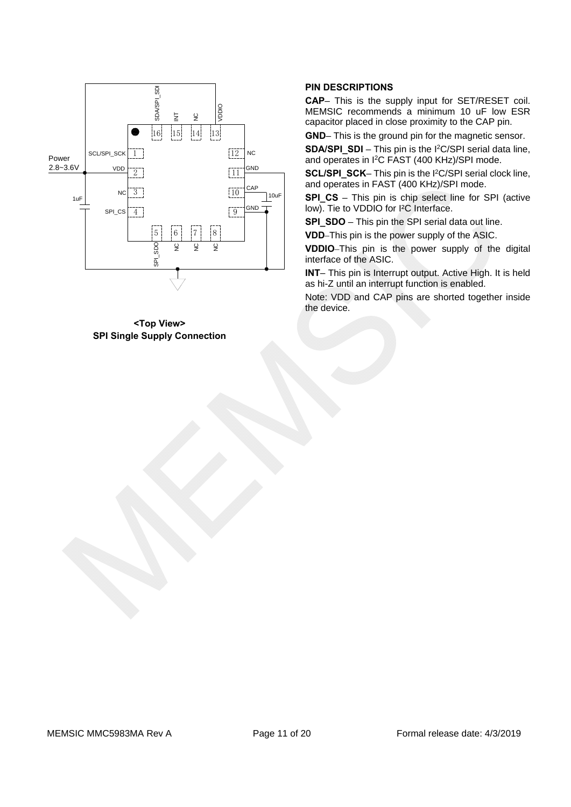

**<Top View> SPI Single Supply Connection** 

## **PIN DESCRIPTIONS**

**CAP**– This is the supply input for SET/RESET coil. MEMSIC recommends a minimum 10 uF low ESR capacitor placed in close proximity to the CAP pin.

**GND**– This is the ground pin for the magnetic sensor.

**SDA/SPI\_SDI** – This pin is the I2C/SPI serial data line, and operates in I2C FAST (400 KHz)/SPI mode.

**SCL/SPI\_SCK**– This pin is the I2C/SPI serial clock line, and operates in FAST (400 KHz)/SPI mode.

**SPI\_CS** – This pin is chip select line for SPI (active low). Tie to VDDIO for I²C Interface.

**SPI\_SDO** – This pin the SPI serial data out line.

**VDD**–This pin is the power supply of the ASIC.

**VDDIO**–This pin is the power supply of the digital interface of the ASIC.

**INT**– This pin is Interrupt output. Active High. It is held as hi-Z until an interrupt function is enabled.

Note: VDD and CAP pins are shorted together inside the device.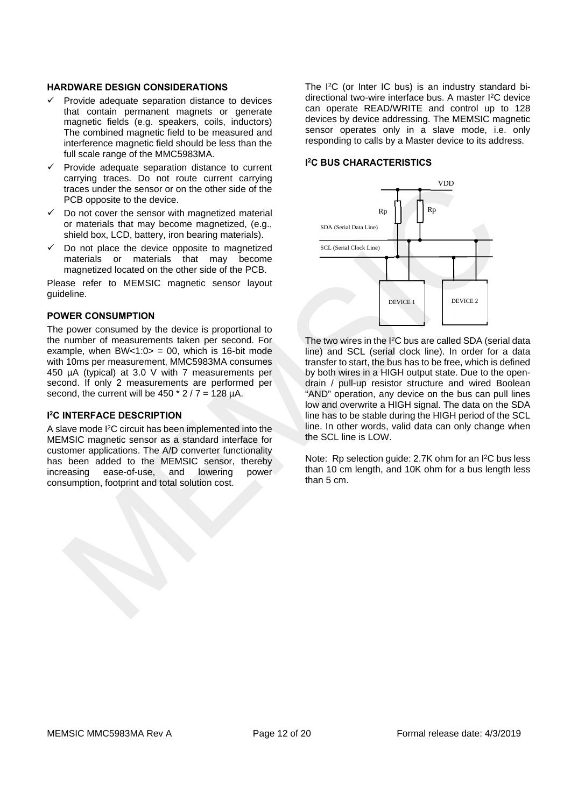#### **HARDWARE DESIGN CONSIDERATIONS**

- $\checkmark$  Provide adequate separation distance to devices that contain permanent magnets or generate magnetic fields (e.g. speakers, coils, inductors) The combined magnetic field to be measured and interference magnetic field should be less than the full scale range of the MMC5983MA.
- $\checkmark$  Provide adequate separation distance to current carrying traces. Do not route current carrying traces under the sensor or on the other side of the PCB opposite to the device.
- Do not cover the sensor with magnetized material or materials that may become magnetized, (e.g., shield box, LCD, battery, iron bearing materials).
- $\checkmark$  Do not place the device opposite to magnetized materials or materials that may become magnetized located on the other side of the PCB.

Please refer to MEMSIC magnetic sensor layout guideline.

#### **POWER CONSUMPTION**

The power consumed by the device is proportional to the number of measurements taken per second. For example, when  $BW < 1:0 > 00$ , which is 16-bit mode with 10ms per measurement, MMC5983MA consumes 450 µA (typical) at 3.0 V with 7 measurements per second. If only 2 measurements are performed per second, the current will be  $450 * 2 / 7 = 128 \mu A$ .

#### **I 2C INTERFACE DESCRIPTION**

A slave mode I2C circuit has been implemented into the MEMSIC magnetic sensor as a standard interface for customer applications. The A/D converter functionality has been added to the MEMSIC sensor, thereby increasing ease-of-use, and lowering power consumption, footprint and total solution cost.

The I2C (or Inter IC bus) is an industry standard bidirectional two-wire interface bus. A master I2C device can operate READ/WRITE and control up to 128 devices by device addressing. The MEMSIC magnetic sensor operates only in a slave mode, i.e. only responding to calls by a Master device to its address.

#### **I 2C BUS CHARACTERISTICS**



The two wires in the I<sup>2</sup>C bus are called SDA (serial data line) and SCL (serial clock line). In order for a data transfer to start, the bus has to be free, which is defined by both wires in a HIGH output state. Due to the opendrain / pull-up resistor structure and wired Boolean "AND" operation, any device on the bus can pull lines low and overwrite a HIGH signal. The data on the SDA line has to be stable during the HIGH period of the SCL line. In other words, valid data can only change when the SCL line is LOW.

Note: Rp selection guide: 2.7K ohm for an I2C bus less than 10 cm length, and 10K ohm for a bus length less than 5 cm.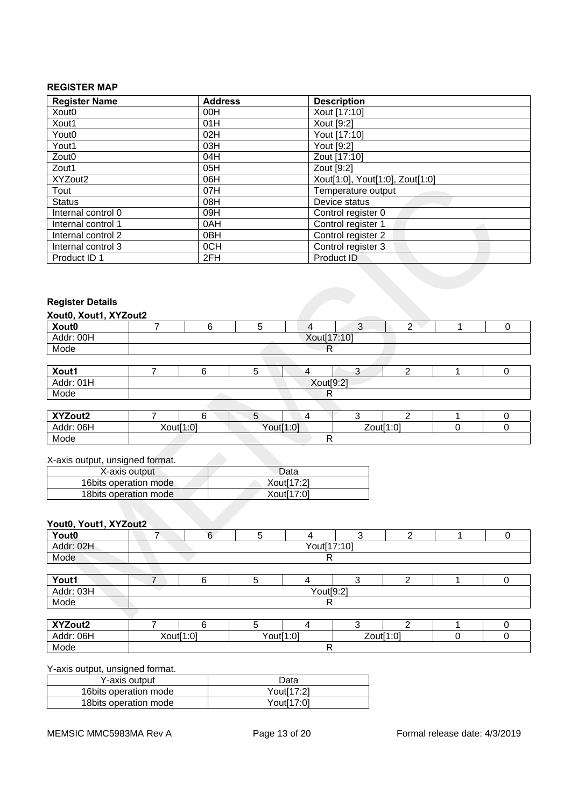# **REGISTER MAP**

| <b>Register Name</b> | <b>Address</b>  | <b>Description</b>              |
|----------------------|-----------------|---------------------------------|
| Xout <sub>0</sub>    | 00H             | Xout [17:10]                    |
| Xout1                | 01H             | Xout [9:2]                      |
| Yout <sub>0</sub>    | 02H             | Yout [17:10]                    |
| Yout1                | 03H             | Yout [9:2]                      |
| Zout <sub>0</sub>    | 04H             | Zout [17:10]                    |
| Zout1                | 05H             | Zout [9:2]                      |
| XYZout2              | 06H             | Xout[1:0], Yout[1:0], Zout[1:0] |
| Tout                 | 07H             | Temperature output              |
| <b>Status</b>        | 08H             | Device status                   |
| Internal control 0   | 09H             | Control register 0              |
| Internal control 1   | 0AH             | Control register 1              |
| Internal control 2   | 0 <sub>BH</sub> | Control register 2              |
| Internal control 3   | 0CH             | Control register 3              |
| Product ID 1         | 2FH             | Product ID                      |

## **Register Details**

| Xout0, Xout1, XYZout2 |             |  |  |  |  |  |  |  |
|-----------------------|-------------|--|--|--|--|--|--|--|
| Xout0                 |             |  |  |  |  |  |  |  |
| Addr: 00H             | Xout[17:10] |  |  |  |  |  |  |  |
| Mode                  |             |  |  |  |  |  |  |  |
|                       |             |  |  |  |  |  |  |  |

| Xout1     |  |  |           |  |  |  |  |
|-----------|--|--|-----------|--|--|--|--|
| Addr: 01H |  |  | Xout[9:2] |  |  |  |  |
| Mode      |  |  |           |  |  |  |  |
|           |  |  |           |  |  |  |  |

| XYZout2   |           |           |  |           |  |
|-----------|-----------|-----------|--|-----------|--|
| Addr: 06H | Xout[1:0] | Yout[1:0] |  | Zout[1:0] |  |
| Mode      |           |           |  |           |  |

#### X-axis output, unsigned format.

| X-axis output          | Data       |
|------------------------|------------|
| 16bits operation mode  | Xout[17:2] |
| 18 bits operation mode | Xout[17:0] |

## **Yout0, Yout1, XYZout2**

| <b>Yout0</b> |  |  |             |  |  |  |  |
|--------------|--|--|-------------|--|--|--|--|
| Addr: 02H    |  |  | Yout[17:10] |  |  |  |  |
| Mode         |  |  |             |  |  |  |  |
|              |  |  |             |  |  |  |  |

| Yout1                                  | - |           |  |  |  |  |  |  |
|----------------------------------------|---|-----------|--|--|--|--|--|--|
| $\sim$<br>$\Lambda$ ddr<br>Auur<br>UJI |   | Yout[9:2] |  |  |  |  |  |  |
| Mode                                   |   |           |  |  |  |  |  |  |

| XYZout2   |           |  |           |  |  |           |  |
|-----------|-----------|--|-----------|--|--|-----------|--|
| Addr: 06H | Xout[1:0] |  | Yout[1:0] |  |  | Zout[1:0] |  |
| Mode      |           |  |           |  |  |           |  |

## Y-axis output, unsigned format.

| Y-axis output          | Data       |
|------------------------|------------|
| 16 bits operation mode | Yout[17:2] |
| 18 bits operation mode | Yout[17:0] |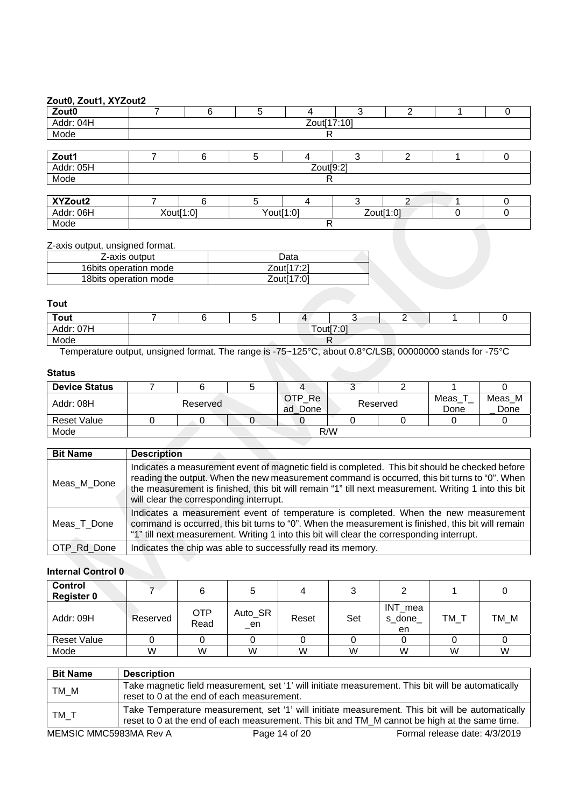## **Zout0, Zout1, XYZout2**

| $=$ $=$ $\frac{1}{2}$ $=$ $\frac{1}{2}$ $\frac{1}{2}$ $\frac{1}{2}$ $\frac{1}{2}$ $\frac{1}{2}$ $\frac{1}{2}$ $\frac{1}{2}$ $\frac{1}{2}$ |           |             |  |  |  |  |  |  |
|-------------------------------------------------------------------------------------------------------------------------------------------|-----------|-------------|--|--|--|--|--|--|
| $\frac{\text{Zout0}}{\text{Addr: }04\text{H}}$                                                                                            |           |             |  |  |  |  |  |  |
|                                                                                                                                           |           | Zout[17:10] |  |  |  |  |  |  |
| Mode                                                                                                                                      |           |             |  |  |  |  |  |  |
|                                                                                                                                           |           |             |  |  |  |  |  |  |
| $\frac{Zout1}{Addr: 05H}$                                                                                                                 |           |             |  |  |  |  |  |  |
|                                                                                                                                           | Zout[9:2] |             |  |  |  |  |  |  |
| Mode                                                                                                                                      |           |             |  |  |  |  |  |  |
|                                                                                                                                           |           |             |  |  |  |  |  |  |

| XYZout2      |           |           |  |           |  |
|--------------|-----------|-----------|--|-----------|--|
| 06H<br>Addr: | Xout[1:0] | Yout[1:0] |  | Zout[1:0] |  |
| Mode         |           |           |  |           |  |

Z-axis output, unsigned format.

| Data                    |
|-------------------------|
| Zout <sub>[17:2]</sub>  |
| Zout <sub>[17:0</sub> ] |
|                         |

**Tout** 

| Tout           |  |           |  | $\Delta$ |  |  |  |  |
|----------------|--|-----------|--|----------|--|--|--|--|
| ∵ 07H<br>Addr: |  | Tout[7:0] |  |          |  |  |  |  |
| Mode           |  |           |  |          |  |  |  |  |

Temperature output, unsigned format. The range is -75~125°C, about 0.8°C/LSB, 00000000 stands for -75°C

## **Status**

| <b>Device Status</b> |          |  |                   |  |          |              |                |
|----------------------|----------|--|-------------------|--|----------|--------------|----------------|
| Addr: 08H            | Reserved |  | OTP Re<br>ad Done |  | Reserved | Meas<br>Done | Meas M<br>Done |
| Reset Value          |          |  |                   |  |          |              |                |
| Mode                 | R/W      |  |                   |  |          |              |                |

| <b>Bit Name</b> | <b>Description</b>                                                                                                                                                                                                                                                                                                                                  |
|-----------------|-----------------------------------------------------------------------------------------------------------------------------------------------------------------------------------------------------------------------------------------------------------------------------------------------------------------------------------------------------|
| Meas_M_Done     | Indicates a measurement event of magnetic field is completed. This bit should be checked before<br>reading the output. When the new measurement command is occurred, this bit turns to "0". When<br>the measurement is finished, this bit will remain "1" till next measurement. Writing 1 into this bit<br>will clear the corresponding interrupt. |
| Meas T Done     | Indicates a measurement event of temperature is completed. When the new measurement<br>command is occurred, this bit turns to "0". When the measurement is finished, this bit will remain<br>"1" till next measurement. Writing 1 into this bit will clear the corresponding interrupt.                                                             |
| OTP_Rd_Done     | Indicates the chip was able to successfully read its memory.                                                                                                                                                                                                                                                                                        |

## **Internal Control 0**

| <b>Control</b><br><b>Register 0</b> |          |                    |               |       |     |                         |        |      |
|-------------------------------------|----------|--------------------|---------------|-------|-----|-------------------------|--------|------|
| Addr: 09H                           | Reserved | <b>OTP</b><br>Read | Auto_SR<br>en | Reset | Set | INT_mea<br>s done<br>en | $TM_T$ | TM_M |
| <b>Reset Value</b>                  |          |                    |               |       |     |                         |        |      |
| Mode                                | W        | W                  | W             | W     | W   | W                       | W      | W    |

| TM M<br>reset to 0 at the end of each measurement.<br>TM_T | <b>Bit Name</b> | <b>Description</b>                                                                                                                                                                               |
|------------------------------------------------------------|-----------------|--------------------------------------------------------------------------------------------------------------------------------------------------------------------------------------------------|
|                                                            |                 | Take magnetic field measurement, set '1' will initiate measurement. This bit will be automatically                                                                                               |
|                                                            |                 | Take Temperature measurement, set '1' will initiate measurement. This bit will be automatically<br>reset to 0 at the end of each measurement. This bit and TM_M cannot be high at the same time. |

MEMSIC MMC5983MA Rev A Page 14 of 20 Formal release date: 4/3/2019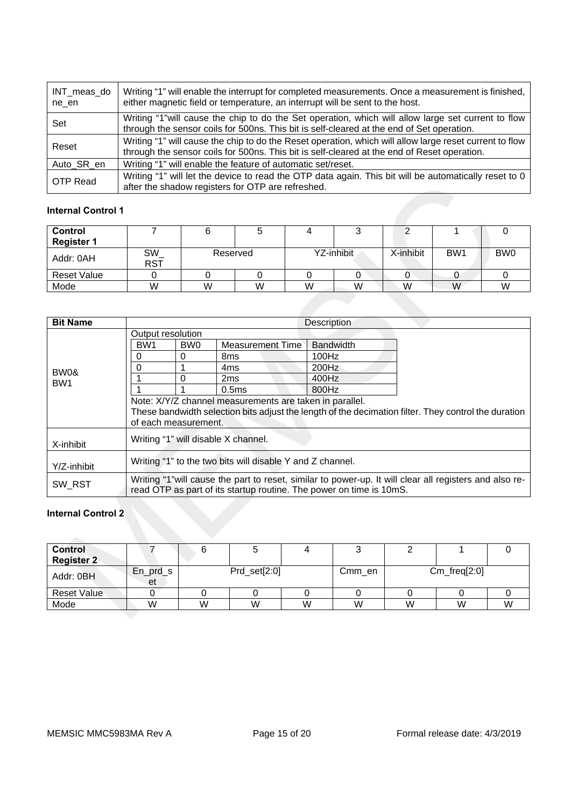| INT meas do<br>ne en | Writing "1" will enable the interrupt for completed measurements. Once a measurement is finished,<br>either magnetic field or temperature, an interrupt will be sent to the host.                      |
|----------------------|--------------------------------------------------------------------------------------------------------------------------------------------------------------------------------------------------------|
| Set                  | Writing "1" will cause the chip to do the Set operation, which will allow large set current to flow<br>through the sensor coils for 500ns. This bit is self-cleared at the end of Set operation.       |
| Reset                | Writing "1" will cause the chip to do the Reset operation, which will allow large reset current to flow<br>through the sensor coils for 500ns. This bit is self-cleared at the end of Reset operation. |
| Auto SR en           | Writing "1" will enable the feature of automatic set/reset.                                                                                                                                            |
| OTP Read             | Writing "1" will let the device to read the OTP data again. This bit will be automatically reset to 0<br>after the shadow registers for OTP are refreshed.                                             |

## **Internal Control 1**

| Control            |                  |          |   |            |   |           |                 |                 |
|--------------------|------------------|----------|---|------------|---|-----------|-----------------|-----------------|
| <b>Register 1</b>  |                  |          |   |            |   |           |                 |                 |
| Addr: 0AH          | SW<br><b>RST</b> | Reserved |   | YZ-inhibit |   | X-inhibit | BW <sub>1</sub> | BW <sub>0</sub> |
| <b>Reset Value</b> |                  |          |   |            |   |           |                 |                 |
| Mode               | W                | W        | W | W          | W | W         | W               | W               |

| <b>Bit Name</b> |                                                                                                         |                 |                   | <b>Description</b> |  |  |  |  |  |
|-----------------|---------------------------------------------------------------------------------------------------------|-----------------|-------------------|--------------------|--|--|--|--|--|
|                 | Output resolution                                                                                       |                 |                   |                    |  |  |  |  |  |
|                 | BW <sub>1</sub>                                                                                         | BW <sub>0</sub> | Measurement Time  | <b>Bandwidth</b>   |  |  |  |  |  |
|                 | 0                                                                                                       | 0               | 8 <sub>ms</sub>   | 100Hz              |  |  |  |  |  |
| BW0&            | 0                                                                                                       |                 | 4ms               | 200Hz              |  |  |  |  |  |
| BW <sub>1</sub> |                                                                                                         | 0               | 2 <sub>ms</sub>   | 400Hz              |  |  |  |  |  |
|                 |                                                                                                         |                 | 0.5 <sub>ms</sub> | 800Hz              |  |  |  |  |  |
|                 | Note: X/Y/Z channel measurements are taken in parallel.                                                 |                 |                   |                    |  |  |  |  |  |
|                 | These bandwidth selection bits adjust the length of the decimation filter. They control the duration    |                 |                   |                    |  |  |  |  |  |
|                 | of each measurement.                                                                                    |                 |                   |                    |  |  |  |  |  |
| X-inhibit       | Writing "1" will disable X channel.                                                                     |                 |                   |                    |  |  |  |  |  |
|                 |                                                                                                         |                 |                   |                    |  |  |  |  |  |
| Y/Z-inhibit     | Writing "1" to the two bits will disable Y and Z channel.                                               |                 |                   |                    |  |  |  |  |  |
|                 | Writing "1" will cause the part to reset, similar to power-up. It will clear all registers and also re- |                 |                   |                    |  |  |  |  |  |
| SW RST          | read OTP as part of its startup routine. The power on time is 10mS.                                     |                 |                   |                    |  |  |  |  |  |

# **Internal Control 2**

| <b>Control</b><br><b>Register 2</b> |                  |                 |   |   |        |                |   |   |
|-------------------------------------|------------------|-----------------|---|---|--------|----------------|---|---|
| Addr: 0BH                           | $En_prd_s$<br>et | $Prd\_set[2:0]$ |   |   | Cmm en | $Cm_freq[2:0]$ |   |   |
| <b>Reset Value</b>                  |                  |                 |   |   |        |                |   |   |
| Mode                                | W                | W               | W | W | W      | W              | W | W |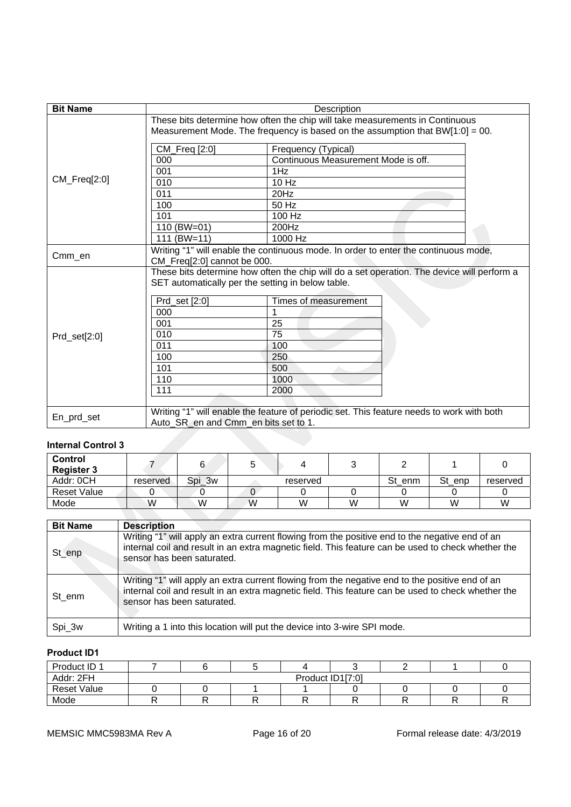| <b>Bit Name</b> |                                                                                                                                                                                                                                                                                                   | Description                                                                               |  |  |  |  |  |
|-----------------|---------------------------------------------------------------------------------------------------------------------------------------------------------------------------------------------------------------------------------------------------------------------------------------------------|-------------------------------------------------------------------------------------------|--|--|--|--|--|
|                 | These bits determine how often the chip will take measurements in Continuous<br>Measurement Mode. The frequency is based on the assumption that $BW[1:0] = 00$ .                                                                                                                                  |                                                                                           |  |  |  |  |  |
|                 | CM_Freq [2:0]                                                                                                                                                                                                                                                                                     | Frequency (Typical)                                                                       |  |  |  |  |  |
|                 | 000                                                                                                                                                                                                                                                                                               | Continuous Measurement Mode is off.                                                       |  |  |  |  |  |
|                 | 001                                                                                                                                                                                                                                                                                               | 1Hz                                                                                       |  |  |  |  |  |
| $CM_Freq[2:0]$  | 010                                                                                                                                                                                                                                                                                               | 10 Hz                                                                                     |  |  |  |  |  |
|                 | 011                                                                                                                                                                                                                                                                                               | 20Hz                                                                                      |  |  |  |  |  |
|                 | 100                                                                                                                                                                                                                                                                                               | 50 Hz                                                                                     |  |  |  |  |  |
|                 | 101                                                                                                                                                                                                                                                                                               | 100 Hz                                                                                    |  |  |  |  |  |
|                 | 110 (BW=01)                                                                                                                                                                                                                                                                                       | 200Hz                                                                                     |  |  |  |  |  |
|                 | 111 (BW=11)                                                                                                                                                                                                                                                                                       | 1000 Hz                                                                                   |  |  |  |  |  |
| Cmm_en          | Writing "1" will enable the continuous mode. In order to enter the continuous mode,<br>CM_Freq[2:0] cannot be 000.                                                                                                                                                                                |                                                                                           |  |  |  |  |  |
| Prd_set[2:0]    | These bits determine how often the chip will do a set operation. The device will perform a<br>SET automatically per the setting in below table.<br>Times of measurement<br>Prd_set [2:0]<br>000<br>25<br>001<br>010<br>75<br>011<br>100<br>100<br>250<br>101<br>500<br>110<br>1000<br>111<br>2000 |                                                                                           |  |  |  |  |  |
| En_prd_set      | Auto_SR_en and Cmm_en bits set to 1.                                                                                                                                                                                                                                                              | Writing "1" will enable the feature of periodic set. This feature needs to work with both |  |  |  |  |  |

# **Internal Control 3**

| <b>Control</b><br><b>Register 3</b> |          | ⌒      |   |          |   |        |        |          |
|-------------------------------------|----------|--------|---|----------|---|--------|--------|----------|
| Addr: 0CH                           | reserved | Spi_3w |   | reserved |   | St enm | St_enp | reserved |
| <b>Reset Value</b>                  |          |        |   |          |   |        |        |          |
| Mode                                | W        | W      | W | W        | W | W      | W      | W        |

| <b>Bit Name</b> | <b>Description</b>                                                                                                                                                                                                                  |
|-----------------|-------------------------------------------------------------------------------------------------------------------------------------------------------------------------------------------------------------------------------------|
| St_enp          | Writing "1" will apply an extra current flowing from the positive end to the negative end of an<br>internal coil and result in an extra magnetic field. This feature can be used to check whether the<br>sensor has been saturated. |
| St enm          | Writing "1" will apply an extra current flowing from the negative end to the positive end of an<br>internal coil and result in an extra magnetic field. This feature can be used to check whether the<br>sensor has been saturated. |
| Spi_3w          | Writing a 1 into this location will put the device into 3-wire SPI mode.                                                                                                                                                            |

# **Product ID1**

| Product ID 1       |                  |  |  |  |  |  |  |  |
|--------------------|------------------|--|--|--|--|--|--|--|
| Addr: 2FH          | Product ID1[7:0] |  |  |  |  |  |  |  |
| <b>Reset Value</b> |                  |  |  |  |  |  |  |  |
| Mode               |                  |  |  |  |  |  |  |  |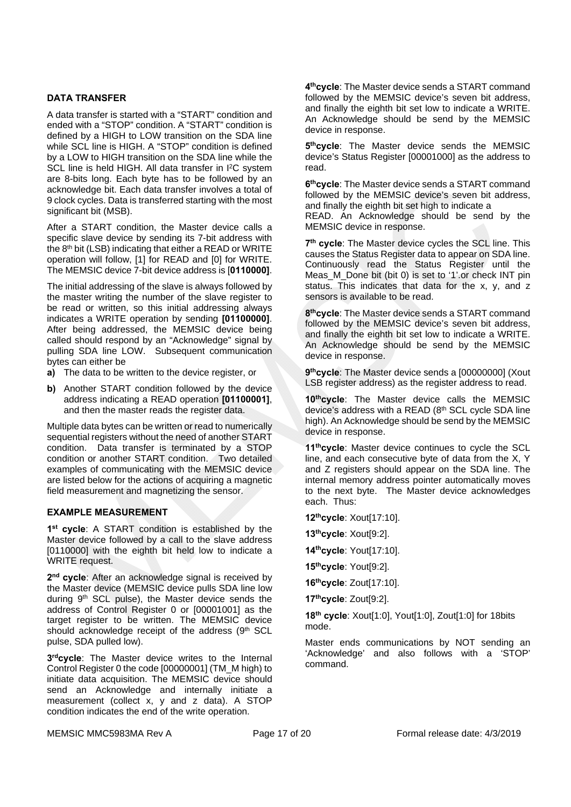## **DATA TRANSFER**

A data transfer is started with a "START" condition and ended with a "STOP" condition. A "START" condition is defined by a HIGH to LOW transition on the SDA line while SCL line is HIGH. A "STOP" condition is defined by a LOW to HIGH transition on the SDA line while the SCL line is held HIGH. All data transfer in I<sup>2</sup>C system are 8-bits long. Each byte has to be followed by an acknowledge bit. Each data transfer involves a total of 9 clock cycles. Data is transferred starting with the most significant bit (MSB).

After a START condition, the Master device calls a specific slave device by sending its 7-bit address with the 8<sup>th</sup> bit (LSB) indicating that either a READ or WRITE operation will follow, [1] for READ and [0] for WRITE. The MEMSIC device 7-bit device address is [**0110000]**.

The initial addressing of the slave is always followed by the master writing the number of the slave register to be read or written, so this initial addressing always indicates a WRITE operation by sending **[01100000]**. After being addressed, the MEMSIC device being called should respond by an "Acknowledge" signal by pulling SDA line LOW. Subsequent communication bytes can either be

- **a)** The data to be written to the device register, or
- **b)** Another START condition followed by the device address indicating a READ operation **[01100001]**, and then the master reads the register data.

Multiple data bytes can be written or read to numerically sequential registers without the need of another START condition. Data transfer is terminated by a STOP condition or another START condition. Two detailed examples of communicating with the MEMSIC device are listed below for the actions of acquiring a magnetic field measurement and magnetizing the sensor.

#### **EXAMPLE MEASUREMENT**

**1st cycle**: A START condition is established by the Master device followed by a call to the slave address [0110000] with the eighth bit held low to indicate a WRITE request.

**2nd cycle**: After an acknowledge signal is received by the Master device (MEMSIC device pulls SDA line low during 9<sup>th</sup> SCL pulse), the Master device sends the address of Control Register 0 or [00001001] as the target register to be written. The MEMSIC device should acknowledge receipt of the address (9th SCL pulse, SDA pulled low).

**3rdcycle**: The Master device writes to the Internal Control Register 0 the code [00000001] (TM\_M high) to initiate data acquisition. The MEMSIC device should send an Acknowledge and internally initiate a measurement (collect x, y and z data). A STOP condition indicates the end of the write operation.

**4thcycle**: The Master device sends a START command followed by the MEMSIC device's seven bit address, and finally the eighth bit set low to indicate a WRITE. An Acknowledge should be send by the MEMSIC device in response.

**5thcycle**: The Master device sends the MEMSIC device's Status Register [00001000] as the address to read.

**6thcycle**: The Master device sends a START command followed by the MEMSIC device's seven bit address, and finally the eighth bit set high to indicate a READ. An Acknowledge should be send by the MEMSIC device in response.

**7th cycle**: The Master device cycles the SCL line. This causes the Status Register data to appear on SDA line. Continuously read the Status Register until the Meas\_M\_Done bit (bit 0) is set to '1'.or check INT pin status. This indicates that data for the x, y, and z sensors is available to be read.

**8thcycle**: The Master device sends a START command followed by the MEMSIC device's seven bit address, and finally the eighth bit set low to indicate a WRITE. An Acknowledge should be send by the MEMSIC device in response.

9<sup>th</sup>cycle: The Master device sends a [00000000] (Xout LSB register address) as the register address to read.

**10thcycle**: The Master device calls the MEMSIC device's address with a READ (8th SCL cycle SDA line high). An Acknowledge should be send by the MEMSIC device in response.

**11thcycle**: Master device continues to cycle the SCL line, and each consecutive byte of data from the X, Y and Z registers should appear on the SDA line. The internal memory address pointer automatically moves to the next byte. The Master device acknowledges each. Thus:

**12thcycle**: Xout[17:10].

**13thcycle**: Xout[9:2].

**14thcycle**: Yout[17:10].

**15thcycle**: Yout[9:2].

**16thcycle**: Zout[17:10].

**17thcycle**: Zout[9:2].

**18th cycle**: Xout[1:0], Yout[1:0], Zout[1:0] for 18bits mode.

Master ends communications by NOT sending an 'Acknowledge' and also follows with a 'STOP' command.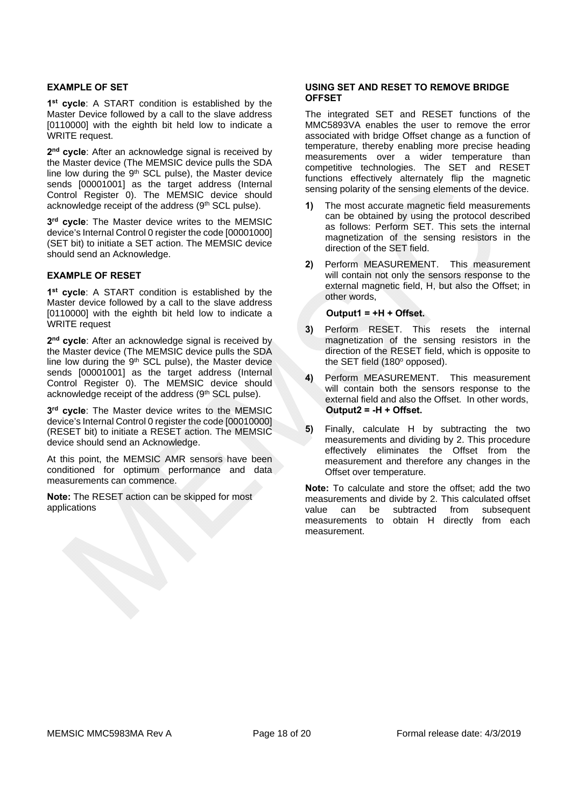#### **EXAMPLE OF SET**

**1st cycle**: A START condition is established by the Master Device followed by a call to the slave address [0110000] with the eighth bit held low to indicate a WRITE request.

**2nd cycle**: After an acknowledge signal is received by the Master device (The MEMSIC device pulls the SDA line low during the 9<sup>th</sup> SCL pulse), the Master device sends [00001001] as the target address (Internal Control Register 0). The MEMSIC device should acknowledge receipt of the address (9<sup>th</sup> SCL pulse).

**3rd cycle**: The Master device writes to the MEMSIC device's Internal Control 0 register the code [00001000] (SET bit) to initiate a SET action. The MEMSIC device should send an Acknowledge.

#### **EXAMPLE OF RESET**

**1st cycle**: A START condition is established by the Master device followed by a call to the slave address [0110000] with the eighth bit held low to indicate a WRITE request

**2nd cycle**: After an acknowledge signal is received by the Master device (The MEMSIC device pulls the SDA line low during the 9<sup>th</sup> SCL pulse), the Master device sends [00001001] as the target address (Internal Control Register 0). The MEMSIC device should acknowledge receipt of the address (9<sup>th</sup> SCL pulse).

**3rd cycle**: The Master device writes to the MEMSIC device's Internal Control 0 register the code [00010000] (RESET bit) to initiate a RESET action. The MEMSIC device should send an Acknowledge.

At this point, the MEMSIC AMR sensors have been conditioned for optimum performance and data measurements can commence.

**Note:** The RESET action can be skipped for most applications

#### **USING SET AND RESET TO REMOVE BRIDGE OFFSET**

The integrated SET and RESET functions of the MMC5893VA enables the user to remove the error associated with bridge Offset change as a function of temperature, thereby enabling more precise heading measurements over a wider temperature than competitive technologies. The SET and RESET functions effectively alternately flip the magnetic sensing polarity of the sensing elements of the device.

- **1)** The most accurate magnetic field measurements can be obtained by using the protocol described as follows: Perform SET. This sets the internal magnetization of the sensing resistors in the direction of the SET field.
- **2)** Perform MEASUREMENT. This measurement will contain not only the sensors response to the external magnetic field, H, but also the Offset; in other words,

#### **Output1 = +H + Offset.**

- **3)** Perform RESET. This resets the internal magnetization of the sensing resistors in the direction of the RESET field, which is opposite to the SET field (180° opposed).
- **4)** Perform MEASUREMENT. This measurement will contain both the sensors response to the external field and also the Offset. In other words, **Output2 = -H + Offset.**
- **5)** Finally, calculate H by subtracting the two measurements and dividing by 2. This procedure effectively eliminates the Offset from the measurement and therefore any changes in the Offset over temperature.

**Note:** To calculate and store the offset; add the two measurements and divide by 2. This calculated offset value can be subtracted from subsequent measurements to obtain H directly from each measurement.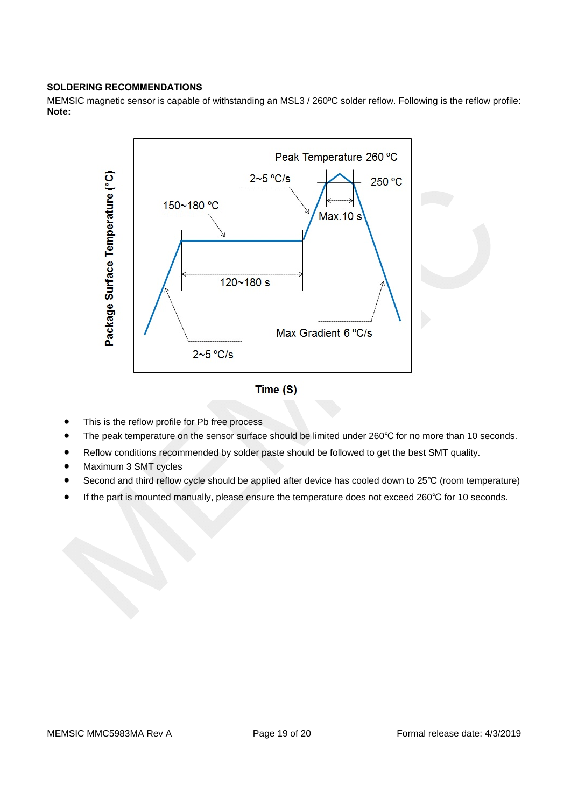## **SOLDERING RECOMMENDATIONS**

MEMSIC magnetic sensor is capable of withstanding an MSL3 / 260ºC solder reflow. Following is the reflow profile: **Note:** 



- This is the reflow profile for Pb free process
- The peak temperature on the sensor surface should be limited under 260℃ for no more than 10 seconds.
- Reflow conditions recommended by solder paste should be followed to get the best SMT quality.
- Maximum 3 SMT cycles
- Second and third reflow cycle should be applied after device has cooled down to 25℃ (room temperature)
- If the part is mounted manually, please ensure the temperature does not exceed 260℃ for 10 seconds.